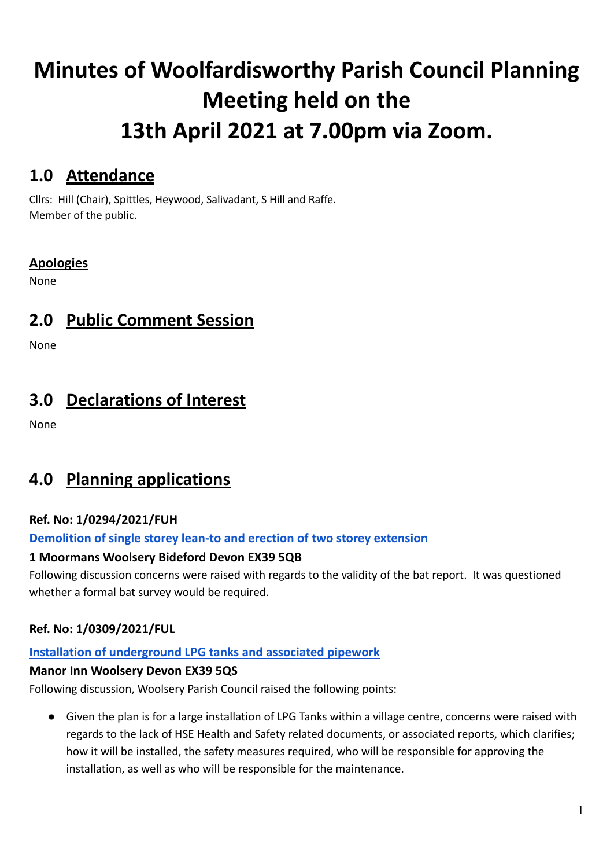# **Minutes of Woolfardisworthy Parish Council Planning Meeting held on the 13th April 2021 at 7.00pm via Zoom.**

### **1.0 Attendance**

Cllrs: Hill (Chair), Spittles, Heywood, Salivadant, S Hill and Raffe. Member of the public.

#### **Apologies**

None

# **2.0 Public Comment Session**

None

## **3.0 Declarations of Interest**

None

# **4.0 Planning applications**

#### **Ref. No: 1/0294/2021/FUH**

#### **[Demolition](https://publicaccess.torridge.gov.uk/online-applications/applicationDetails.do?activeTab=summary&keyVal=QPUMGXQKM5H00&prevPage=inTray) of single storey lean-to and erection of two storey extension**

#### **1 Moormans Woolsery Bideford Devon EX39 5QB**

Following discussion concerns were raised with regards to the validity of the bat report. It was questioned whether a formal bat survey would be required.

#### **Ref. No: 1/0309/2021/FUL**

#### **Installation of [underground](https://publicaccess.torridge.gov.uk/online-applications/applicationDetails.do?activeTab=summary&keyVal=QQ2KPXQKM7200&prevPage=inTray) LPG tanks and associated pipework**

#### **Manor Inn Woolsery Devon EX39 5QS**

Following discussion, Woolsery Parish Council raised the following points:

● Given the plan is for a large installation of LPG Tanks within a village centre, concerns were raised with regards to the lack of HSE Health and Safety related documents, or associated reports, which clarifies; how it will be installed, the safety measures required, who will be responsible for approving the installation, as well as who will be responsible for the maintenance.